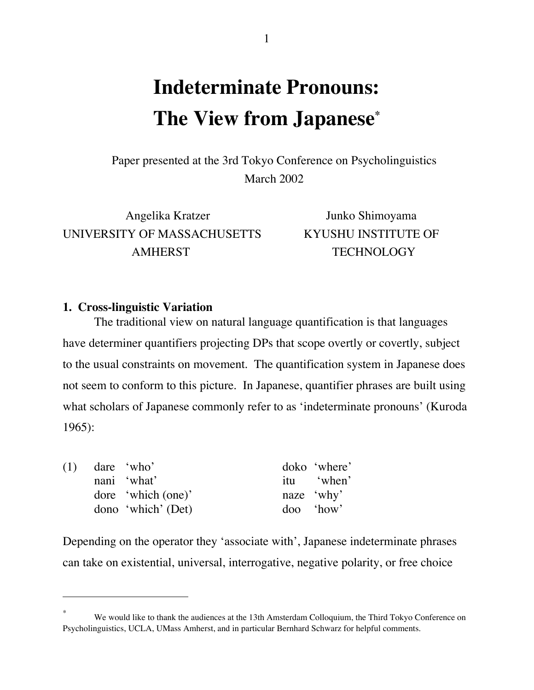# **Indeterminate Pronouns: The View from Japanese\***

Paper presented at the 3rd Tokyo Conference on Psycholinguistics March 2002

Angelika Kratzer Junko Shimoyama UNIVERSITY OF MASSACHUSETTS KYUSHU INSTITUTE OF AMHERST TECHNOLOGY

### **1. Cross-linguistic Variation**

 $\overline{a}$ 

The traditional view on natural language quantification is that languages have determiner quantifiers projecting DPs that scope overtly or covertly, subject to the usual constraints on movement. The quantification system in Japanese does not seem to conform to this picture. In Japanese, quantifier phrases are built using what scholars of Japanese commonly refer to as 'indeterminate pronouns' (Kuroda 1965):

| $(1)$ dare 'who' |                    | doko 'where' |
|------------------|--------------------|--------------|
|                  | nani 'what'        | itu 'when'   |
|                  | dore 'which (one)' | naze 'why'   |
|                  | dono 'which' (Det) | doo 'how'    |

Depending on the operator they 'associate with', Japanese indeterminate phrases can take on existential, universal, interrogative, negative polarity, or free choice

We would like to thank the audiences at the 13th Amsterdam Colloquium, the Third Tokyo Conference on Psycholinguistics, UCLA, UMass Amherst, and in particular Bernhard Schwarz for helpful comments.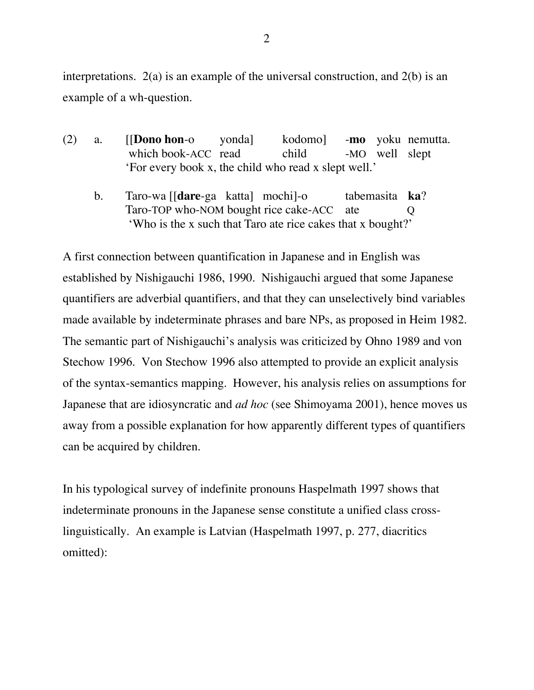interpretations. 2(a) is an example of the universal construction, and 2(b) is an example of a wh-question.

- (2) a. [[**Dono hon**-o yonda] kodomo] -**mo** yoku nemutta. which book-ACC read child -MO well slept 'For every book x, the child who read x slept well.'
	- b. Taro-wa [[**dare**-ga katta] mochi]-o tabemasita **ka**? Taro-TOP who-NOM bought rice cake-ACC ate Q 'Who is the x such that Taro ate rice cakes that x bought?'

A first connection between quantification in Japanese and in English was established by Nishigauchi 1986, 1990. Nishigauchi argued that some Japanese quantifiers are adverbial quantifiers, and that they can unselectively bind variables made available by indeterminate phrases and bare NPs, as proposed in Heim 1982. The semantic part of Nishigauchi's analysis was criticized by Ohno 1989 and von Stechow 1996. Von Stechow 1996 also attempted to provide an explicit analysis of the syntax-semantics mapping. However, his analysis relies on assumptions for Japanese that are idiosyncratic and *ad hoc* (see Shimoyama 2001), hence moves us away from a possible explanation for how apparently different types of quantifiers can be acquired by children.

In his typological survey of indefinite pronouns Haspelmath 1997 shows that indeterminate pronouns in the Japanese sense constitute a unified class crosslinguistically. An example is Latvian (Haspelmath 1997, p. 277, diacritics omitted):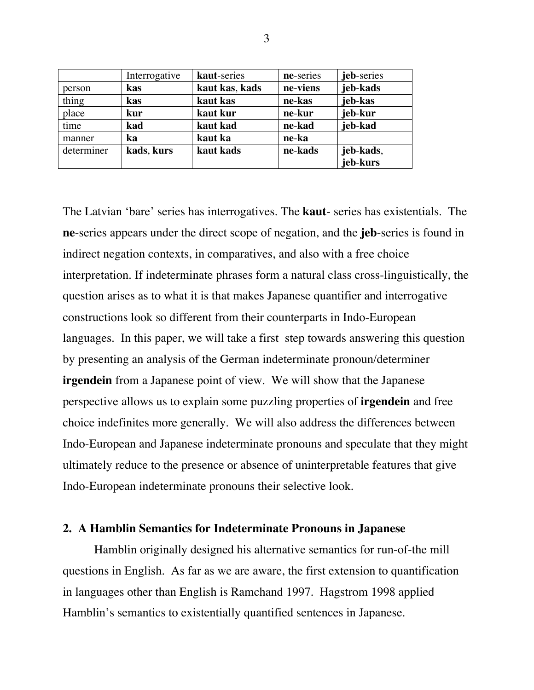|            | Interrogative | kaut-series    | ne-series | jeb-series |
|------------|---------------|----------------|-----------|------------|
| person     | kas           | kaut kas, kads | ne-viens  | jeb-kads   |
| thing      | kas           | kaut kas       | ne-kas    | jeb-kas    |
| place      | kur           | kaut kur       | ne-kur    | jeb-kur    |
| time       | kad           | kaut kad       | ne-kad    | jeb-kad    |
| manner     | ka            | kaut ka        | ne-ka     |            |
| determiner | kads, kurs    | kaut kads      | ne-kads   | jeb-kads,  |
|            |               |                |           | jeb-kurs   |

The Latvian 'bare' series has interrogatives. The **kaut**- series has existentials. The **ne**-series appears under the direct scope of negation, and the **jeb**-series is found in indirect negation contexts, in comparatives, and also with a free choice interpretation. If indeterminate phrases form a natural class cross-linguistically, the question arises as to what it is that makes Japanese quantifier and interrogative constructions look so different from their counterparts in Indo-European languages. In this paper, we will take a first step towards answering this question by presenting an analysis of the German indeterminate pronoun/determiner **irgendein** from a Japanese point of view. We will show that the Japanese perspective allows us to explain some puzzling properties of **irgendein** and free choice indefinites more generally. We will also address the differences between Indo-European and Japanese indeterminate pronouns and speculate that they might ultimately reduce to the presence or absence of uninterpretable features that give Indo-European indeterminate pronouns their selective look.

### **2. A Hamblin Semantics for Indeterminate Pronouns in Japanese**

Hamblin originally designed his alternative semantics for run-of-the mill questions in English. As far as we are aware, the first extension to quantification in languages other than English is Ramchand 1997. Hagstrom 1998 applied Hamblin's semantics to existentially quantified sentences in Japanese.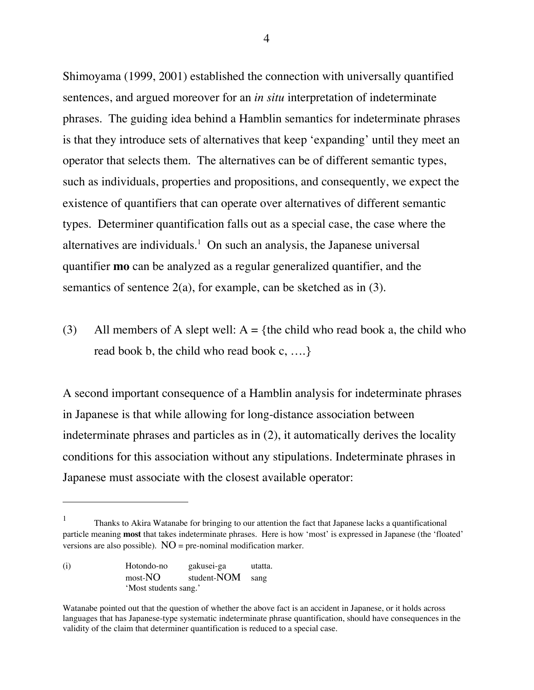Shimoyama (1999, 2001) established the connection with universally quantified sentences, and argued moreover for an *in situ* interpretation of indeterminate phrases. The guiding idea behind a Hamblin semantics for indeterminate phrases is that they introduce sets of alternatives that keep 'expanding' until they meet an operator that selects them. The alternatives can be of different semantic types, such as individuals, properties and propositions, and consequently, we expect the existence of quantifiers that can operate over alternatives of different semantic types. Determiner quantification falls out as a special case, the case where the alternatives are individuals.<sup>1</sup> On such an analysis, the Japanese universal quantifier **mo** can be analyzed as a regular generalized quantifier, and the semantics of sentence 2(a), for example, can be sketched as in (3).

(3) All members of A slept well:  $A = \{$ the child who read book a, the child who read book b, the child who read book c, ….}

A second important consequence of a Hamblin analysis for indeterminate phrases in Japanese is that while allowing for long-distance association between indeterminate phrases and particles as in (2), it automatically derives the locality conditions for this association without any stipulations. Indeterminate phrases in Japanese must associate with the closest available operator:

 $\overline{a}$ 

 $1$  Thanks to Akira Watanabe for bringing to our attention the fact that Japanese lacks a quantificational particle meaning **most** that takes indeterminate phrases. Here is how 'most' is expressed in Japanese (the 'floated' versions are also possible).  $NO = pre-normal modification marker$ .

<sup>(</sup>i) Hotondo-no gakusei-ga utatta. most-NO student-NOM sang 'Most students sang.'

Watanabe pointed out that the question of whether the above fact is an accident in Japanese, or it holds across languages that has Japanese-type systematic indeterminate phrase quantification, should have consequences in the validity of the claim that determiner quantification is reduced to a special case.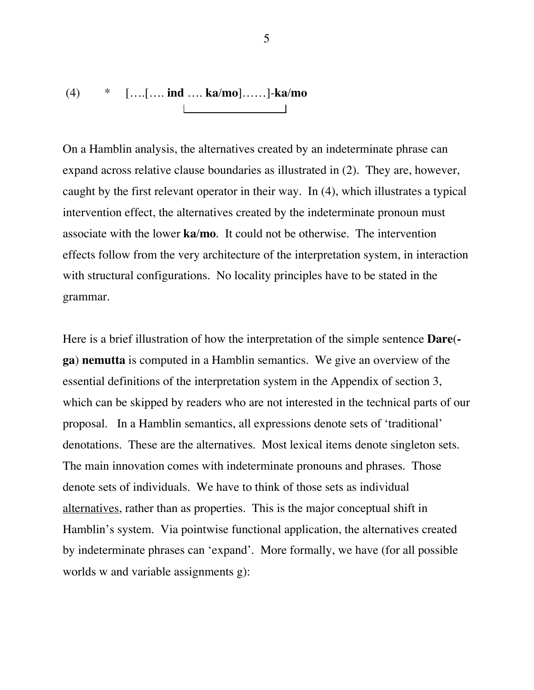(4) 
$$
\ast
$$
 [...].... **ind** .... **ka/mol**....] **-ka/mol**

On a Hamblin analysis, the alternatives created by an indeterminate phrase can expand across relative clause boundaries as illustrated in (2). They are, however, caught by the first relevant operator in their way. In (4), which illustrates a typical intervention effect, the alternatives created by the indeterminate pronoun must associate with the lower **ka**/**mo**. It could not be otherwise. The intervention effects follow from the very architecture of the interpretation system, in interaction with structural configurations. No locality principles have to be stated in the grammar.

Here is a brief illustration of how the interpretation of the simple sentence **Dare**( **ga**) **nemutta** is computed in a Hamblin semantics. We give an overview of the essential definitions of the interpretation system in the Appendix of section 3, which can be skipped by readers who are not interested in the technical parts of our proposal. In a Hamblin semantics, all expressions denote sets of 'traditional' denotations. These are the alternatives. Most lexical items denote singleton sets. The main innovation comes with indeterminate pronouns and phrases. Those denote sets of individuals. We have to think of those sets as individual alternatives, rather than as properties. This is the major conceptual shift in Hamblin's system. Via pointwise functional application, the alternatives created by indeterminate phrases can 'expand'. More formally, we have (for all possible worlds w and variable assignments g):

5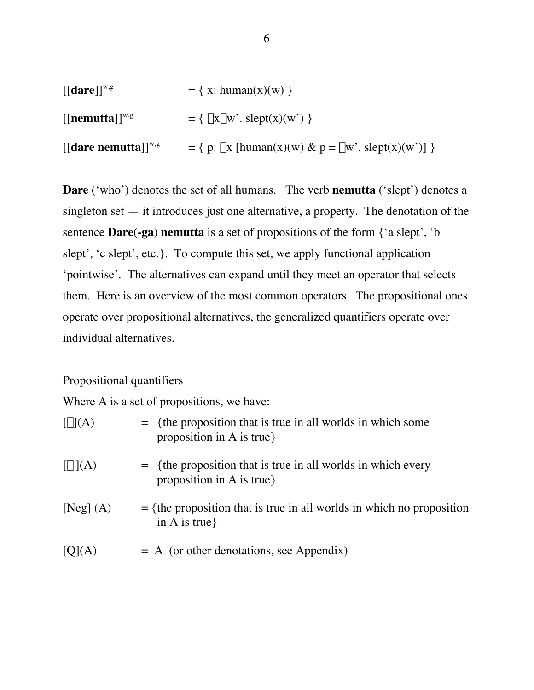| $[[\text{dare}]]^{\text{w,g}}$                    | $= \{ x: \text{human}(x)(w) \}$                                                         |
|---------------------------------------------------|-----------------------------------------------------------------------------------------|
| $\left[\left[\text{nementta}\right]\right]^{w,g}$ | $= \{ \lambda x \lambda w' \cdot \text{slipt}(x)(w') \}$                                |
| $\left[\frac{dare}{d}\right]^{w,g}$               | $= \{ p: \exists x \ [\text{human}(x)(w) \& p = \lambda w'.\ \text{slept}(x)(w') \} \}$ |

**Dare** ('who') denotes the set of all humans. The verb **nemutta** ('slept') denotes a singleton set  $-$  it introduces just one alternative, a property. The denotation of the sentence **Dare**(**-ga**) **nemutta** is a set of propositions of the form {'a slept', 'b slept', 'c slept', etc.}. To compute this set, we apply functional application 'pointwise'. The alternatives can expand until they meet an operator that selects them. Here is an overview of the most common operators. The propositional ones operate over propositional alternatives, the generalized quantifiers operate over individual alternatives.

# Propositional quantifiers

Where A is a set of propositions, we have:

| $[\exists](A)$ | $=$ {the proposition that is true in all worlds in which some<br>proposition in A is true}      |
|----------------|-------------------------------------------------------------------------------------------------|
| $[\forall](A)$ | $=$ {the proposition that is true in all worlds in which every<br>proposition in A is true $\}$ |
| [Neg](A)       | $=$ {the proposition that is true in all worlds in which no proposition<br>in A is true $\}$    |
| [Q](A)         | $= A$ (or other denotations, see Appendix)                                                      |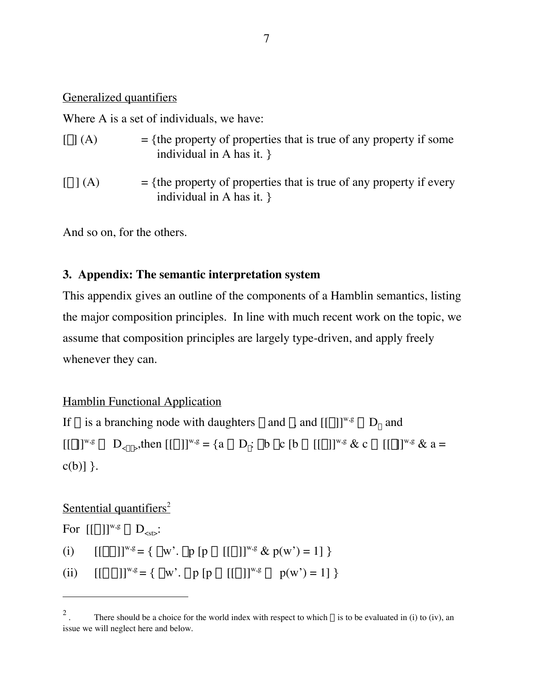### Generalized quantifiers

Where A is a set of individuals, we have:

| $[\exists] (A)$ | $=$ {the property of properties that is true of any property if some<br>individual in A has it. $\}$  |
|-----------------|-------------------------------------------------------------------------------------------------------|
| $[\forall] (A)$ | $=$ {the property of properties that is true of any property if every<br>individual in A has it. $\}$ |

And so on, for the others.

### **3. Appendix: The semantic interpretation system**

This appendix gives an outline of the components of a Hamblin semantics, listing the major composition principles. In line with much recent work on the topic, we assume that composition principles are largely type-driven, and apply freely whenever they can.

#### Hamblin Functional Application

If  $\alpha$  is a branching node with daughters  $\beta$  and  $\gamma$ , and  $[[\beta]]^{w,g} \subseteq D_{\alpha}$  and  $[[\gamma]]^{w,g} \subseteq D_{\text{cyc}}$ , then  $[[\alpha]]^{w,g} = \{a \in D_{\tau}: \exists b \exists c \; [b \in [[\beta]]^{w,g} \& c \in [[\gamma]]^{w,g} \& a =$  $c(b)$ }.

Sentential quantifiers<sup>2</sup>

For  $[[\alpha]]^{w,g} \subseteq D_{\text{est}}$ :

 $\overline{a}$ 

- (i)  $[[\exists \alpha]]^{w,g} = {\lambda w'. \exists p [p \in [[\alpha]]^{w,g} \& p(w') = 1]}$
- (ii)  $[[\forall \alpha]]^{w,g} = {\lambda w'. \forall p [p \in [[\alpha]]^{w,g} \rightarrow p(w') = 1]}$

<sup>2</sup> There should be a choice for the world index with respect to which  $\alpha$  is to be evaluated in (i) to (iv), an issue we will neglect here and below.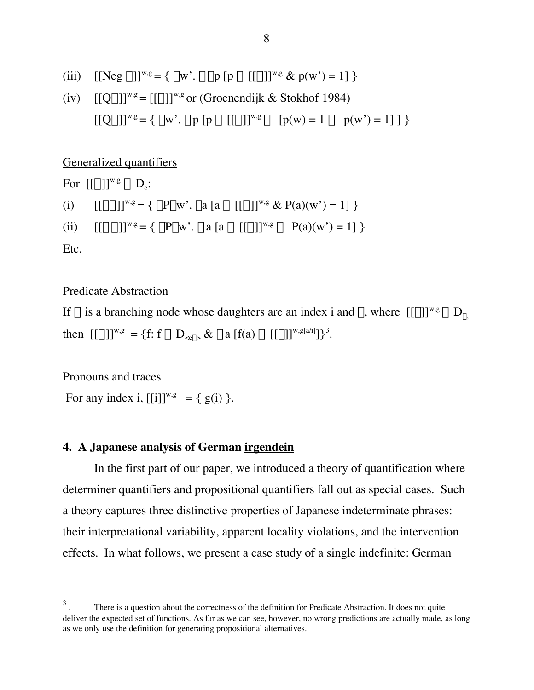(iii) 
$$
[[\text{Neg } \alpha]]^{w,g} = \{ \lambda w \cdot \neg \exists p [p \in [[\alpha]]^{w,g} \& p(w') = 1] \}
$$

\n- (iv) 
$$
[[Q\alpha]]^{w,g} = [[\alpha]]^{w,g}
$$
 or (Groenendijk & Stokhof 1984)
\n- $[[Q\alpha]]^{w,g} = \{ \lambda w \cdot \forall p [p \in [[\alpha]]^{w,g} \rightarrow [p(w) = 1 \leftrightarrow p(w') = 1]] \}$
\n

### Generalized quantifiers

For  $[[\alpha]]^{w,g} \subseteq D_e$ : (i)  $[[\exists \alpha]]^{w,g} = {\lambda P\lambda w'}$ .  $\exists a [a \in [[\alpha]]^{w,g} \& P(a)(w') = 1]$ (ii)  $[[\forall \alpha]]^{w,g} = {\lambda P \lambda w}$ .  $\forall a [a \in [[\alpha]]^{w,g} \rightarrow P(a)(w') = 1]$ 

Etc.

 $\overline{a}$ 

### Predicate Abstraction

If  $\alpha$  is a branching node whose daughters are an index i and  $\beta$ , where  $[[\beta]]^{w,g} \subseteq D_{\alpha}$ then  $[[\alpha]]^{w,g} = \{f: f \in D_{\text{ceo}} \& \forall a [f(a) \in [[\beta]]^{w,g[a/i]} \}^3.$ 

Pronouns and traces

For any index i,  $[[i]]^{w,g} = \{ g(i) \}$ .

# **4. A Japanese analysis of German irgendein**

In the first part of our paper, we introduced a theory of quantification where determiner quantifiers and propositional quantifiers fall out as special cases. Such a theory captures three distinctive properties of Japanese indeterminate phrases: their interpretational variability, apparent locality violations, and the intervention effects. In what follows, we present a case study of a single indefinite: German

<sup>&</sup>lt;sup>3</sup>. . There is a question about the correctness of the definition for Predicate Abstraction. It does not quite deliver the expected set of functions. As far as we can see, however, no wrong predictions are actually made, as long as we only use the definition for generating propositional alternatives.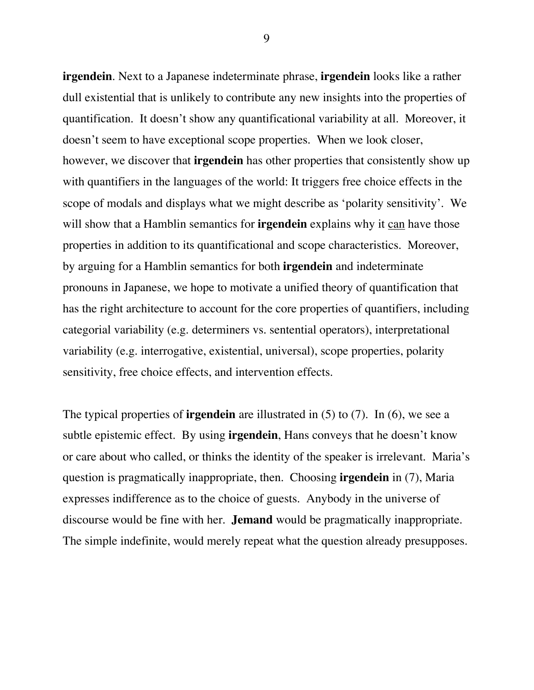**irgendein**. Next to a Japanese indeterminate phrase, **irgendein** looks like a rather dull existential that is unlikely to contribute any new insights into the properties of quantification. It doesn't show any quantificational variability at all. Moreover, it doesn't seem to have exceptional scope properties. When we look closer, however, we discover that **irgendein** has other properties that consistently show up with quantifiers in the languages of the world: It triggers free choice effects in the scope of modals and displays what we might describe as 'polarity sensitivity'. We will show that a Hamblin semantics for **irgendein** explains why it can have those properties in addition to its quantificational and scope characteristics. Moreover, by arguing for a Hamblin semantics for both **irgendein** and indeterminate pronouns in Japanese, we hope to motivate a unified theory of quantification that has the right architecture to account for the core properties of quantifiers, including categorial variability (e.g. determiners vs. sentential operators), interpretational variability (e.g. interrogative, existential, universal), scope properties, polarity sensitivity, free choice effects, and intervention effects.

The typical properties of **irgendein** are illustrated in (5) to (7). In (6), we see a subtle epistemic effect. By using **irgendein**, Hans conveys that he doesn't know or care about who called, or thinks the identity of the speaker is irrelevant. Maria's question is pragmatically inappropriate, then. Choosing **irgendein** in (7), Maria expresses indifference as to the choice of guests. Anybody in the universe of discourse would be fine with her. **Jemand** would be pragmatically inappropriate. The simple indefinite, would merely repeat what the question already presupposes.

9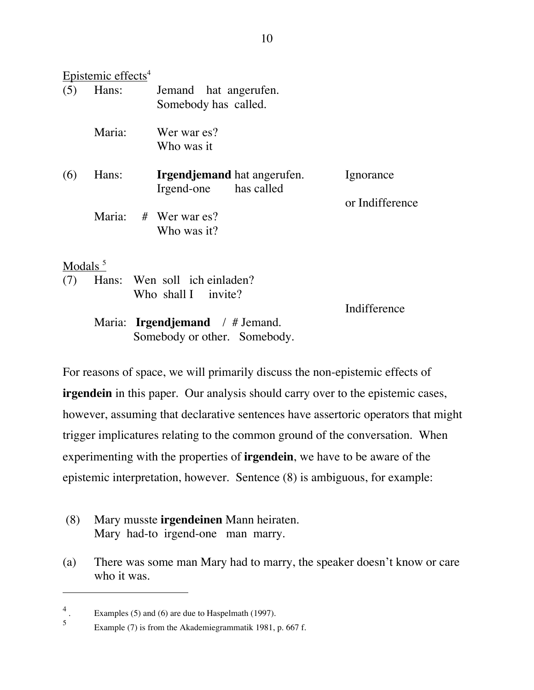### Epistemic effects $4$

| (5)                        | Hans:  | Jemand hat angerufen.<br>Somebody has called.               |                 |
|----------------------------|--------|-------------------------------------------------------------|-----------------|
|                            | Maria: | Wer war es?<br>Who was it                                   |                 |
| (6)                        | Hans:  | <b>Irgendjemand</b> hat angerufen.<br>Irgend-one has called | Ignorance       |
|                            | Maria: | $\#$ Wer war es?<br>Who was it?                             | or Indifference |
| Modals <sup>5</sup><br>(7) |        | $\mu_{\text{on}}$ $W_{\text{on}}$ call ich einleden?        |                 |

| (7) | Hans: Wen soll ich einladen?                                      |              |
|-----|-------------------------------------------------------------------|--------------|
|     | Who shall $I$ invite?                                             |              |
|     |                                                                   | Indifference |
|     | Maria: Irgendjemand / $#$ Jemand.<br>Somebody or other. Somebody. |              |

For reasons of space, we will primarily discuss the non-epistemic effects of **irgendein** in this paper. Our analysis should carry over to the epistemic cases, however, assuming that declarative sentences have assertoric operators that might trigger implicatures relating to the common ground of the conversation. When experimenting with the properties of **irgendein**, we have to be aware of the epistemic interpretation, however. Sentence (8) is ambiguous, for example:

- (8) Mary musste **irgendeinen** Mann heiraten. Mary had-to irgend-one man marry.
- (a) There was some man Mary had to marry, the speaker doesn't know or care who it was.

 $\overline{a}$ 

<sup>4</sup> <sup>4</sup>. Examples (5) and (6) are due to Haspelmath (1997).

Example (7) is from the Akademiegrammatik 1981, p. 667 f.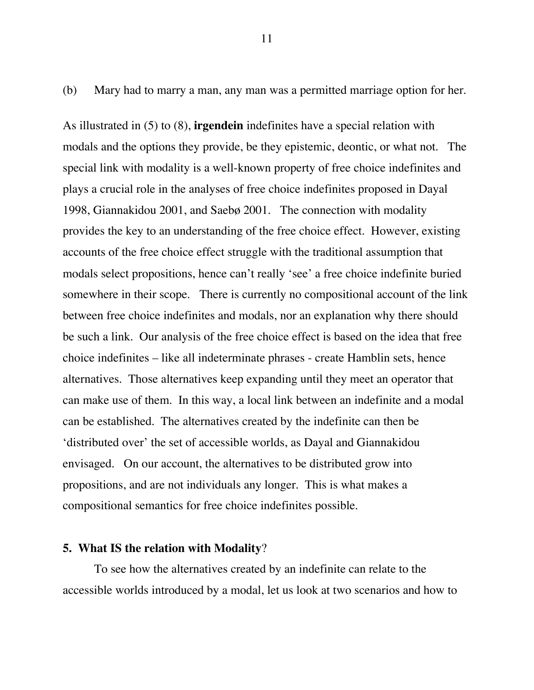(b) Mary had to marry a man, any man was a permitted marriage option for her.

As illustrated in (5) to (8), **irgendein** indefinites have a special relation with modals and the options they provide, be they epistemic, deontic, or what not. The special link with modality is a well-known property of free choice indefinites and plays a crucial role in the analyses of free choice indefinites proposed in Dayal 1998, Giannakidou 2001, and Saebø 2001. The connection with modality provides the key to an understanding of the free choice effect. However, existing accounts of the free choice effect struggle with the traditional assumption that modals select propositions, hence can't really 'see' a free choice indefinite buried somewhere in their scope. There is currently no compositional account of the link between free choice indefinites and modals, nor an explanation why there should be such a link. Our analysis of the free choice effect is based on the idea that free choice indefinites – like all indeterminate phrases - create Hamblin sets, hence alternatives. Those alternatives keep expanding until they meet an operator that can make use of them. In this way, a local link between an indefinite and a modal can be established. The alternatives created by the indefinite can then be 'distributed over' the set of accessible worlds, as Dayal and Giannakidou envisaged. On our account, the alternatives to be distributed grow into propositions, and are not individuals any longer. This is what makes a compositional semantics for free choice indefinites possible.

### **5. What IS the relation with Modality**?

To see how the alternatives created by an indefinite can relate to the accessible worlds introduced by a modal, let us look at two scenarios and how to

11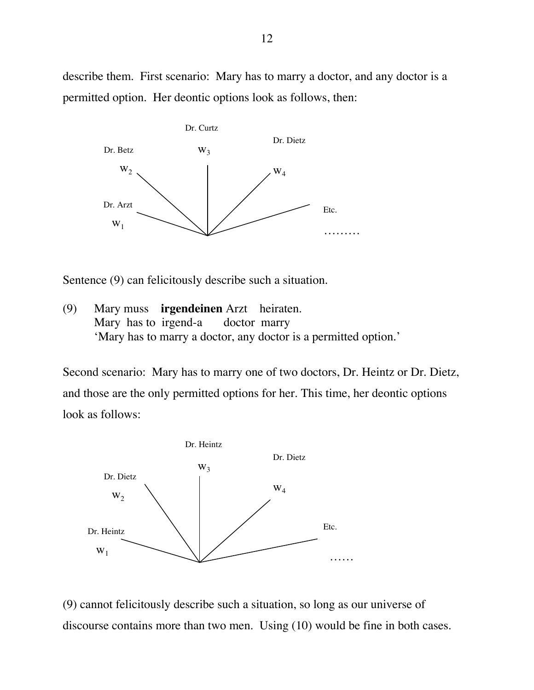describe them. First scenario: Mary has to marry a doctor, and any doctor is a permitted option. Her deontic options look as follows, then:



Sentence (9) can felicitously describe such a situation.

(9) Mary muss **irgendeinen** Arzt heiraten. Mary has to irgend-a doctor marry 'Mary has to marry a doctor, any doctor is a permitted option.'

Second scenario: Mary has to marry one of two doctors, Dr. Heintz or Dr. Dietz, and those are the only permitted options for her. This time, her deontic options look as follows:



(9) cannot felicitously describe such a situation, so long as our universe of discourse contains more than two men. Using (10) would be fine in both cases.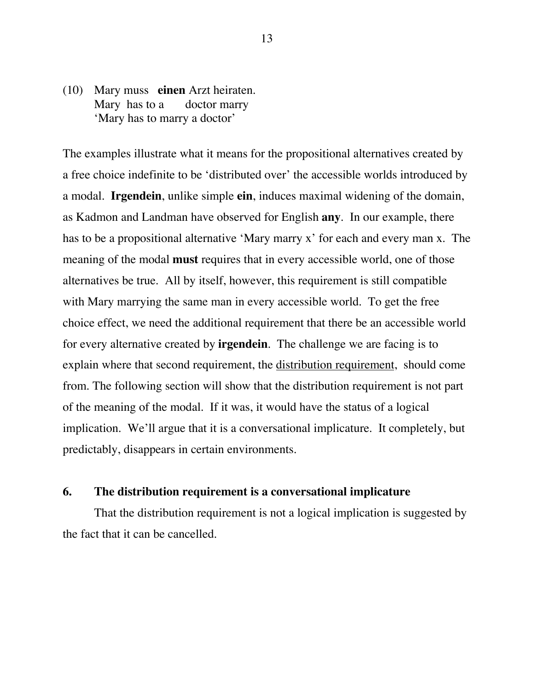(10) Mary muss **einen** Arzt heiraten. Mary has to a doctor marry 'Mary has to marry a doctor'

The examples illustrate what it means for the propositional alternatives created by a free choice indefinite to be 'distributed over' the accessible worlds introduced by a modal. **Irgendein**, unlike simple **ein**, induces maximal widening of the domain, as Kadmon and Landman have observed for English **any**. In our example, there has to be a propositional alternative 'Mary marry x' for each and every man x. The meaning of the modal **must** requires that in every accessible world, one of those alternatives be true. All by itself, however, this requirement is still compatible with Mary marrying the same man in every accessible world. To get the free choice effect, we need the additional requirement that there be an accessible world for every alternative created by **irgendein**. The challenge we are facing is to explain where that second requirement, the distribution requirement, should come from. The following section will show that the distribution requirement is not part of the meaning of the modal. If it was, it would have the status of a logical implication. We'll argue that it is a conversational implicature. It completely, but predictably, disappears in certain environments.

### **6. The distribution requirement is a conversational implicature**

That the distribution requirement is not a logical implication is suggested by the fact that it can be cancelled.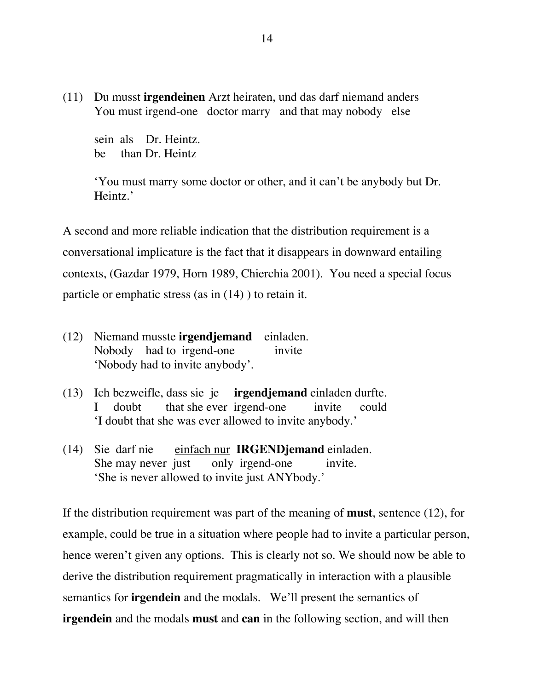(11) Du musst **irgendeinen** Arzt heiraten, und das darf niemand anders You must irgend-one doctor marry and that may nobody else

sein als Dr. Heintz. be than Dr. Heintz

'You must marry some doctor or other, and it can't be anybody but Dr. Heintz.'

A second and more reliable indication that the distribution requirement is a conversational implicature is the fact that it disappears in downward entailing contexts, (Gazdar 1979, Horn 1989, Chierchia 2001). You need a special focus particle or emphatic stress (as in (14) ) to retain it.

- (12) Niemand musste **irgendjemand** einladen. Nobody had to irgend-one invite 'Nobody had to invite anybody'.
- (13) Ich bezweifle, dass sie je **irgendjemand** einladen durfte. I doubt that she ever irgend-one invite could 'I doubt that she was ever allowed to invite anybody.'
- (14) Sie darf nie einfach nur **IRGENDjemand** einladen. She may never just only irgend-one invite. 'She is never allowed to invite just ANYbody.'

If the distribution requirement was part of the meaning of **must**, sentence (12), for example, could be true in a situation where people had to invite a particular person, hence weren't given any options. This is clearly not so. We should now be able to derive the distribution requirement pragmatically in interaction with a plausible semantics for **irgendein** and the modals. We'll present the semantics of **irgendein** and the modals **must** and **can** in the following section, and will then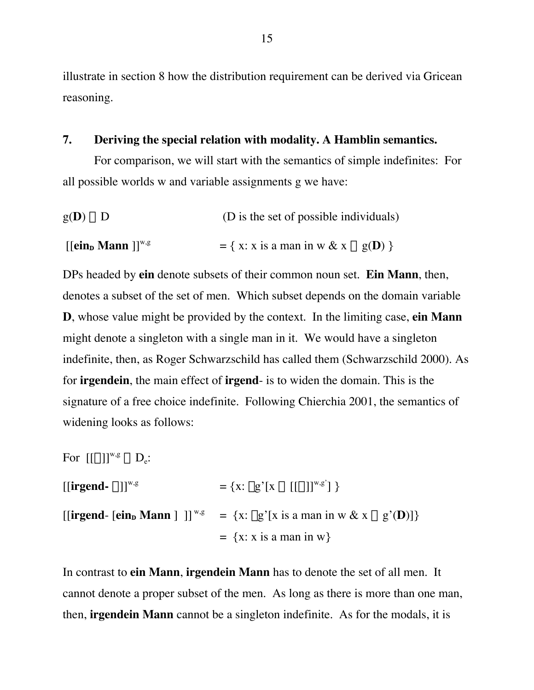illustrate in section 8 how the distribution requirement can be derived via Gricean reasoning.

### **7. Deriving the special relation with modality. A Hamblin semantics.**

For comparison, we will start with the semantics of simple indefinites: For all possible worlds w and variable assignments g we have:

$$
g(\mathbf{D}) \subseteq D
$$
 (D is the set of possible individuals)  
\n[[**einD**  $= \{ x: x \text{ is a man in w & x \in g(\mathbf{D}) \}$ 

DPs headed by **ein** denote subsets of their common noun set. **Ein Mann**, then, denotes a subset of the set of men. Which subset depends on the domain variable **D**, whose value might be provided by the context. In the limiting case, **ein Mann** might denote a singleton with a single man in it. We would have a singleton indefinite, then, as Roger Schwarzschild has called them (Schwarzschild 2000). As for **irgendein**, the main effect of **irgend**- is to widen the domain. This is the signature of a free choice indefinite. Following Chierchia 2001, the semantics of widening looks as follows:

For  $[[\alpha]]^{w,g} \subseteq D_e$ :  $[[{\bf i} {\bf r} {\bf g} {\bf e} {\bf n} {\bf d} {\bf e}] \$ <sup>w,g</sup>  $= {\bf x}: \exists {\bf g}'[{\bf x} \in [[\alpha]]^{w,g'}]$  $[[{\bf i} \text{rgend-} [{\bf ein}_D {\bf Mann} ]]]^{w,g} = {x: \exists g' [x \text{ is a man in } w \& x \in g'({\bf D})] }$  $= {x: x is a man in w}$ 

In contrast to **ein Mann**, **irgendein Mann** has to denote the set of all men. It cannot denote a proper subset of the men. As long as there is more than one man, then, **irgendein Mann** cannot be a singleton indefinite. As for the modals, it is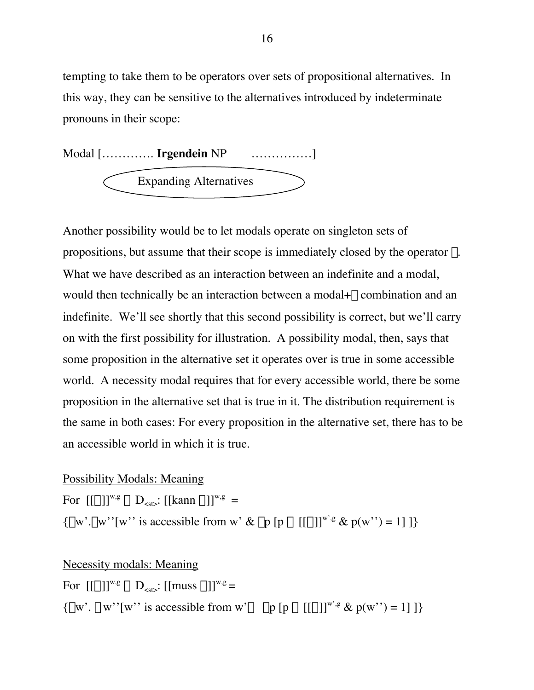tempting to take them to be operators over sets of propositional alternatives. In this way, they can be sensitive to the alternatives introduced by indeterminate pronouns in their scope:

Modal […………. **Irgendein** NP ……………] Expanding Alternatives

Another possibility would be to let modals operate on singleton sets of propositions, but assume that their scope is immediately closed by the operator  $\exists$ . What we have described as an interaction between an indefinite and a modal, would then technically be an interaction between a modal+ $\exists$  combination and an indefinite. We'll see shortly that this second possibility is correct, but we'll carry on with the first possibility for illustration. A possibility modal, then, says that some proposition in the alternative set it operates over is true in some accessible world. A necessity modal requires that for every accessible world, there be some proposition in the alternative set that is true in it. The distribution requirement is the same in both cases: For every proposition in the alternative set, there has to be an accessible world in which it is true.

# Possibility Modals: Meaning For  $[[\alpha]]^{w,g} \subseteq D_{\text{ext}}$ :  $[[\text{kann }\alpha]]^{w,g} =$  ${\lambda w'.} \exists w''[w'']$  is accessible from w' &  $\exists p [p \in [[\alpha]]^{w',g}$  &  $p(w'') = 1]$ ]

# Necessity modals: Meaning For  $[[\alpha]]^{w,g} \subseteq D_{\text{cst}}$ :  $[[{\text{mass }\alpha}]^{w,g} =$  $\{\lambda w'. \forall w''[w'']$  is accessible from  $w' \rightarrow \exists p [p \in [[\alpha]]^{w' \circ g} \& p(w'') = 1] ]\}$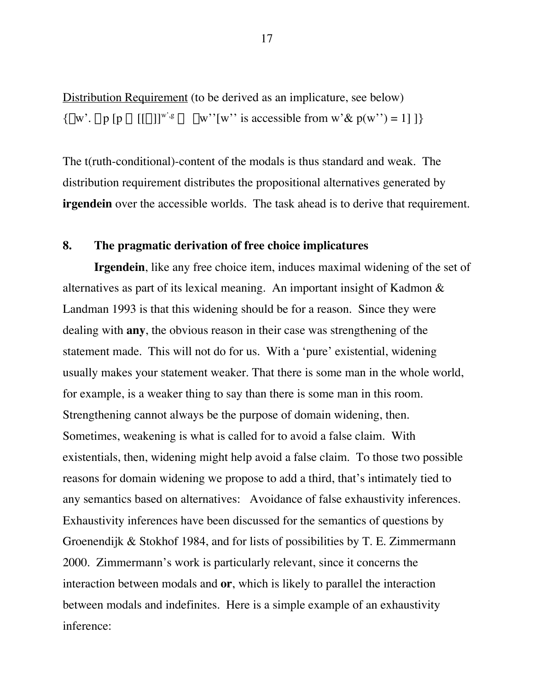Distribution Requirement (to be derived as an implicature, see below)  $\{\lambda w'. \forall p [p \in [[\alpha]]^{w',g} \rightarrow \exists w''[w''] \text{ is accessible from } w' \& p(w'') = 1] ]\}$ 

The t(ruth-conditional)-content of the modals is thus standard and weak. The distribution requirement distributes the propositional alternatives generated by **irgendein** over the accessible worlds. The task ahead is to derive that requirement.

### **8. The pragmatic derivation of free choice implicatures**

**Irgendein**, like any free choice item, induces maximal widening of the set of alternatives as part of its lexical meaning. An important insight of Kadmon & Landman 1993 is that this widening should be for a reason. Since they were dealing with **any**, the obvious reason in their case was strengthening of the statement made. This will not do for us. With a 'pure' existential, widening usually makes your statement weaker. That there is some man in the whole world, for example, is a weaker thing to say than there is some man in this room. Strengthening cannot always be the purpose of domain widening, then. Sometimes, weakening is what is called for to avoid a false claim. With existentials, then, widening might help avoid a false claim. To those two possible reasons for domain widening we propose to add a third, that's intimately tied to any semantics based on alternatives: Avoidance of false exhaustivity inferences. Exhaustivity inferences have been discussed for the semantics of questions by Groenendijk & Stokhof 1984, and for lists of possibilities by T. E. Zimmermann 2000. Zimmermann's work is particularly relevant, since it concerns the interaction between modals and **or**, which is likely to parallel the interaction between modals and indefinites. Here is a simple example of an exhaustivity inference: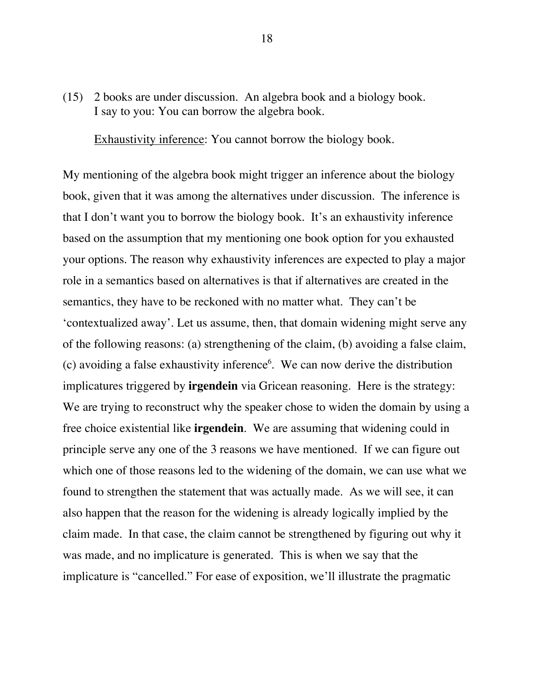(15) 2 books are under discussion. An algebra book and a biology book. I say to you: You can borrow the algebra book.

Exhaustivity inference: You cannot borrow the biology book.

My mentioning of the algebra book might trigger an inference about the biology book, given that it was among the alternatives under discussion. The inference is that I don't want you to borrow the biology book. It's an exhaustivity inference based on the assumption that my mentioning one book option for you exhausted your options. The reason why exhaustivity inferences are expected to play a major role in a semantics based on alternatives is that if alternatives are created in the semantics, they have to be reckoned with no matter what. They can't be 'contextualized away'. Let us assume, then, that domain widening might serve any of the following reasons: (a) strengthening of the claim, (b) avoiding a false claim,  $(c)$  avoiding a false exhaustivity inference<sup>6</sup>. We can now derive the distribution implicatures triggered by **irgendein** via Gricean reasoning. Here is the strategy: We are trying to reconstruct why the speaker chose to widen the domain by using a free choice existential like **irgendein**. We are assuming that widening could in principle serve any one of the 3 reasons we have mentioned. If we can figure out which one of those reasons led to the widening of the domain, we can use what we found to strengthen the statement that was actually made. As we will see, it can also happen that the reason for the widening is already logically implied by the claim made. In that case, the claim cannot be strengthened by figuring out why it was made, and no implicature is generated. This is when we say that the implicature is "cancelled." For ease of exposition, we'll illustrate the pragmatic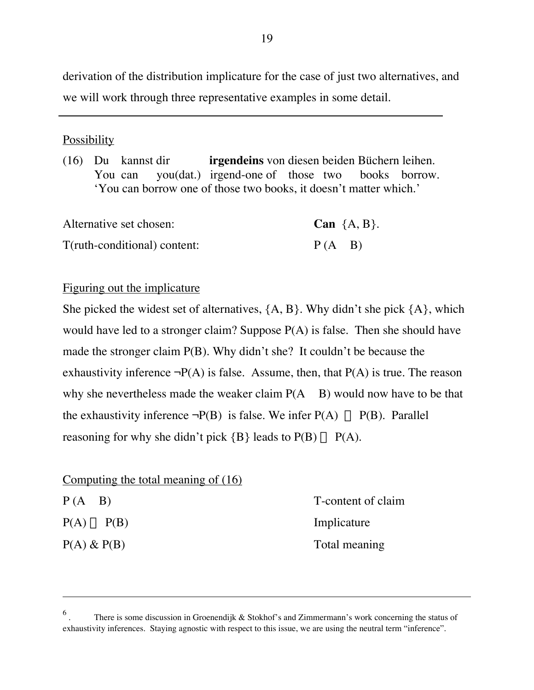derivation of the distribution implicature for the case of just two alternatives, and we will work through three representative examples in some detail.

### **Possibility**

 $\overline{a}$ 

(16) Du kannst dir **irgendeins** von diesen beiden Büchern leihen. You can you(dat.) irgend-one of those two books borrow. 'You can borrow one of those two books, it doesn't matter which.'

| Alternative set chosen:      | Can $\{A, B\}$ . |
|------------------------------|------------------|
| T(ruth-conditional) content: | $P(A \vee B)$    |

### Figuring out the implicature

She picked the widest set of alternatives,  $\{A, B\}$ . Why didn't she pick  $\{A\}$ , which would have led to a stronger claim? Suppose P(A) is false. Then she should have made the stronger claim P(B). Why didn't she? It couldn't be because the exhaustivity inference  $\neg P(A)$  is false. Assume, then, that  $P(A)$  is true. The reason why she nevertheless made the weaker claim  $P(A \vee B)$  would now have to be that the exhaustivity inference  $\neg P(B)$  is false. We infer  $P(A) \rightarrow P(B)$ . Parallel reasoning for why she didn't pick  ${B}$  leads to  $P(B) \rightarrow P(A)$ .

| Computing the total meaning of $(16)$ |                    |
|---------------------------------------|--------------------|
| $P(A \vee B)$                         | T-content of claim |
| $P(A) \leftrightarrow P(B)$           | Implicature        |
| $P(A)$ & $P(B)$                       | Total meaning      |

<sup>6</sup> There is some discussion in Groenendijk & Stokhof's and Zimmermann's work concerning the status of exhaustivity inferences. Staying agnostic with respect to this issue, we are using the neutral term "inference".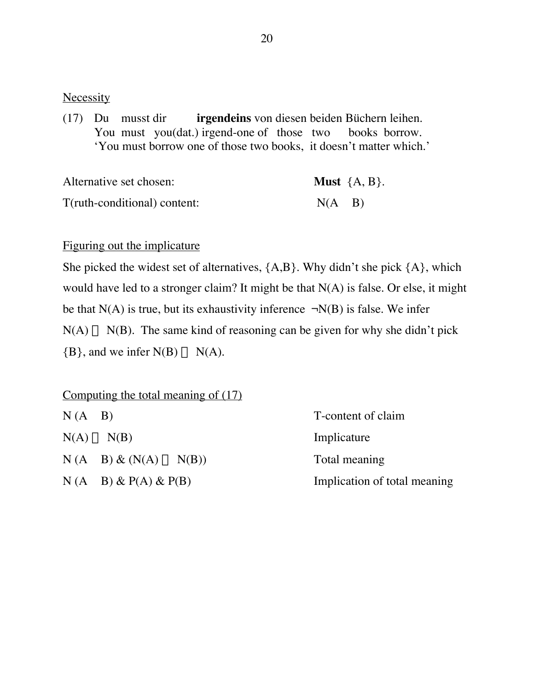# **Necessity**

(17) Du musst dir **irgendeins** von diesen beiden Büchern leihen. You must you(dat.) irgend-one of those two books borrow. 'You must borrow one of those two books, it doesn't matter which.'

| Alternative set chosen:      | <b>Must</b> $\{A, B\}$ . |
|------------------------------|--------------------------|
| T(ruth-conditional) content: | $N(A \vee B)$            |

# Figuring out the implicature

She picked the widest set of alternatives,  ${A,B}$ . Why didn't she pick  ${A}$ , which would have led to a stronger claim? It might be that N(A) is false. Or else, it might be that  $N(A)$  is true, but its exhaustivity inference  $\neg N(B)$  is false. We infer  $N(A) \rightarrow N(B)$ . The same kind of reasoning can be given for why she didn't pick  ${B}$ , and we infer  $N(B) \rightarrow N(A)$ .

| Computing the total meaning of (17)          |                              |
|----------------------------------------------|------------------------------|
| $N(A \vee B)$                                | T-content of claim           |
| $N(A) \leftrightarrow N(B)$                  | Implicature                  |
| $N(A \vee B) \& (N(A) \leftrightarrow N(B))$ | Total meaning                |
| $N(A \vee B)$ & $P(A)$ & $P(B)$              | Implication of total meaning |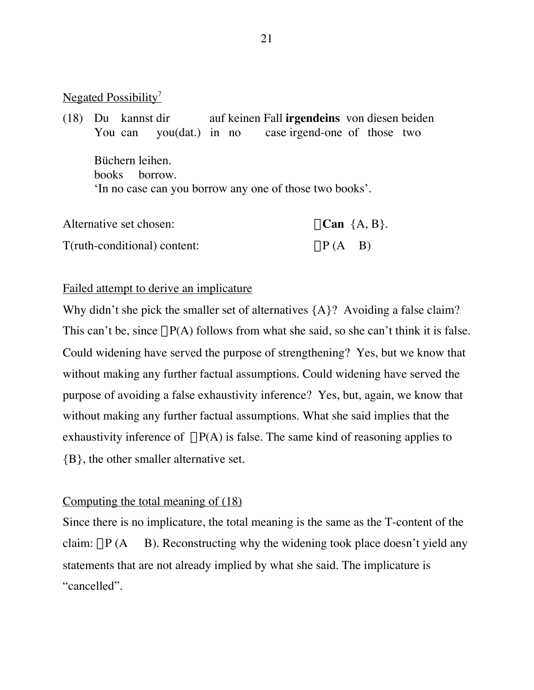# Negated Possibility<sup>7</sup>

|                 |               |  |  | (18) Du kannst dir auf keinen Fall <b>irgendeins</b> von diesen beiden |  |  |
|-----------------|---------------|--|--|------------------------------------------------------------------------|--|--|
|                 |               |  |  | You can you(dat.) in no case irgend-one of those two                   |  |  |
| Büchern leihen. |               |  |  |                                                                        |  |  |
|                 | books borrow. |  |  |                                                                        |  |  |
|                 |               |  |  | 'In no case can you borrow any one of those two books'.                |  |  |
|                 |               |  |  |                                                                        |  |  |

| Alternative set chosen:      | $\neg \textbf{Can } \{A, B\}.$ |
|------------------------------|--------------------------------|
| T(ruth-conditional) content: | $\neg P(A \vee B)$             |

### Failed attempt to derive an implicature

Why didn't she pick the smaller set of alternatives  ${A}$ ? Avoiding a false claim? This can't be, since  $\neg P(A)$  follows from what she said, so she can't think it is false. Could widening have served the purpose of strengthening? Yes, but we know that without making any further factual assumptions. Could widening have served the purpose of avoiding a false exhaustivity inference? Yes, but, again, we know that without making any further factual assumptions. What she said implies that the exhaustivity inference of  $\neg P(A)$  is false. The same kind of reasoning applies to {B}, the other smaller alternative set.

### Computing the total meaning of (18)

Since there is no implicature, the total meaning is the same as the T-content of the claim:  $\neg P (A \vee B)$ . Reconstructing why the widening took place doesn't yield any statements that are not already implied by what she said. The implicature is "cancelled".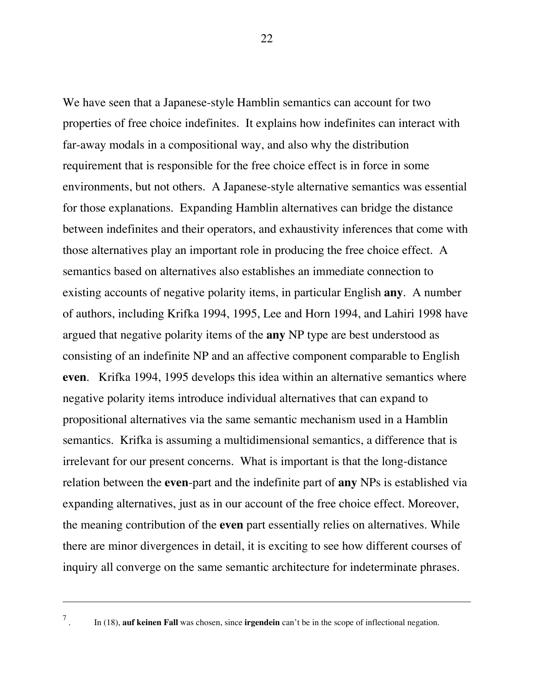We have seen that a Japanese-style Hamblin semantics can account for two properties of free choice indefinites. It explains how indefinites can interact with far-away modals in a compositional way, and also why the distribution requirement that is responsible for the free choice effect is in force in some environments, but not others. A Japanese-style alternative semantics was essential for those explanations. Expanding Hamblin alternatives can bridge the distance between indefinites and their operators, and exhaustivity inferences that come with those alternatives play an important role in producing the free choice effect. A semantics based on alternatives also establishes an immediate connection to existing accounts of negative polarity items, in particular English **any**. A number of authors, including Krifka 1994, 1995, Lee and Horn 1994, and Lahiri 1998 have argued that negative polarity items of the **any** NP type are best understood as consisting of an indefinite NP and an affective component comparable to English **even**. Krifka 1994, 1995 develops this idea within an alternative semantics where negative polarity items introduce individual alternatives that can expand to propositional alternatives via the same semantic mechanism used in a Hamblin semantics. Krifka is assuming a multidimensional semantics, a difference that is irrelevant for our present concerns. What is important is that the long-distance relation between the **even**-part and the indefinite part of **any** NPs is established via expanding alternatives, just as in our account of the free choice effect. Moreover, the meaning contribution of the **even** part essentially relies on alternatives. While there are minor divergences in detail, it is exciting to see how different courses of inquiry all converge on the same semantic architecture for indeterminate phrases.

 $\overline{a}$ 

<sup>7</sup> . In (18), **auf keinen Fall** was chosen, since **irgendein** can't be in the scope of inflectional negation.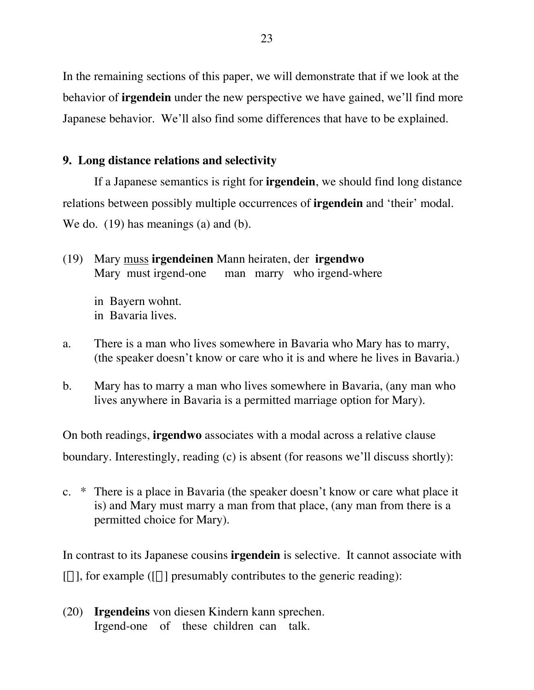In the remaining sections of this paper, we will demonstrate that if we look at the behavior of **irgendein** under the new perspective we have gained, we'll find more Japanese behavior. We'll also find some differences that have to be explained.

### **9. Long distance relations and selectivity**

If a Japanese semantics is right for **irgendein**, we should find long distance relations between possibly multiple occurrences of **irgendein** and 'their' modal. We do. (19) has meanings (a) and (b).

(19) Mary muss **irgendeinen** Mann heiraten, der **irgendwo** Mary must irgend-one man marry who irgend-where

in Bayern wohnt. in Bavaria lives.

- a. There is a man who lives somewhere in Bavaria who Mary has to marry, (the speaker doesn't know or care who it is and where he lives in Bavaria.)
- b. Mary has to marry a man who lives somewhere in Bavaria, (any man who lives anywhere in Bavaria is a permitted marriage option for Mary).

On both readings, **irgendwo** associates with a modal across a relative clause boundary. Interestingly, reading (c) is absent (for reasons we'll discuss shortly):

c. \* There is a place in Bavaria (the speaker doesn't know or care what place it is) and Mary must marry a man from that place, (any man from there is a permitted choice for Mary).

In contrast to its Japanese cousins **irgendein** is selective. It cannot associate with  $[V]$ , for example ( $[V]$  presumably contributes to the generic reading):

(20) **Irgendeins** von diesen Kindern kann sprechen. Irgend-one of these children can talk.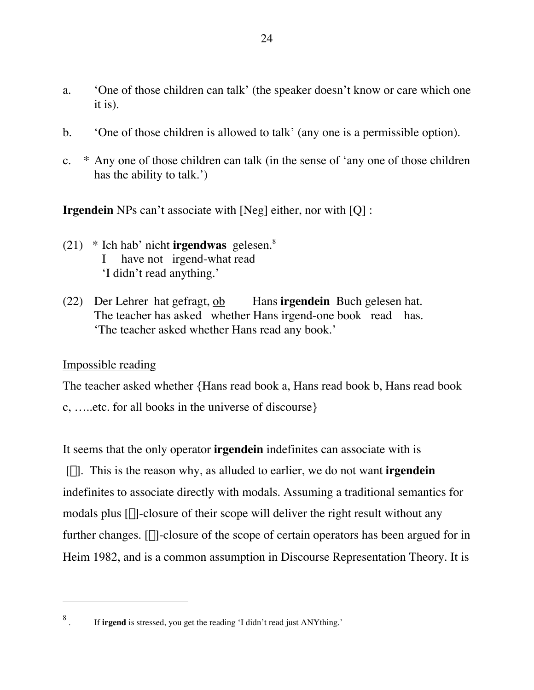- a. 'One of those children can talk' (the speaker doesn't know or care which one it is).
- b. 'One of those children is allowed to talk' (any one is a permissible option).
- c. \* Any one of those children can talk (in the sense of 'any one of those children has the ability to talk.')

**Irgendein** NPs can't associate with [Neg] either, nor with [Q] :

- (21) \* Ich hab' nicht **irgendwas** gelesen.<sup>8</sup> I have not irgend-what read 'I didn't read anything.'
- (22) Der Lehrer hat gefragt, ob Hans **irgendein** Buch gelesen hat. The teacher has asked whether Hans irgend-one book read has. 'The teacher asked whether Hans read any book.'

# Impossible reading

 $\overline{a}$ 

The teacher asked whether {Hans read book a, Hans read book b, Hans read book c, …..etc. for all books in the universe of discourse}

It seems that the only operator **irgendein** indefinites can associate with is [\$]. This is the reason why, as alluded to earlier, we do not want **irgendein** indefinites to associate directly with modals. Assuming a traditional semantics for modals plus  $[\exists]$ -closure of their scope will deliver the right result without any further changes.  $[\exists]$ -closure of the scope of certain operators has been argued for in Heim 1982, and is a common assumption in Discourse Representation Theory. It is

<sup>8</sup> . If **irgend** is stressed, you get the reading 'I didn't read just ANYthing.'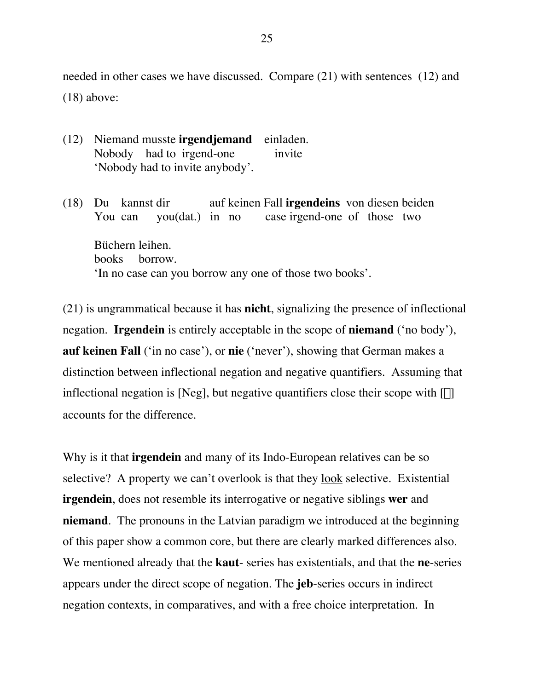needed in other cases we have discussed. Compare (21) with sentences (12) and  $(18)$  above:

- (12) Niemand musste **irgendjemand** einladen. Nobody had to irgend-one invite 'Nobody had to invite anybody'.
- (18) Du kannst dir auf keinen Fall **irgendeins** von diesen beiden You can you(dat.) in no case irgend-one of those two Büchern leihen. books borrow. 'In no case can you borrow any one of those two books'.

(21) is ungrammatical because it has **nicht**, signalizing the presence of inflectional negation. **Irgendein** is entirely acceptable in the scope of **niemand** ('no body'), **auf keinen Fall** ('in no case'), or **nie** ('never'), showing that German makes a distinction between inflectional negation and negative quantifiers. Assuming that inflectional negation is [Neg], but negative quantifiers close their scope with  $[**3**]$ accounts for the difference.

Why is it that **irgendein** and many of its Indo-European relatives can be so selective? A property we can't overlook is that they <u>look</u> selective. Existential **irgendein**, does not resemble its interrogative or negative siblings **wer** and **niemand**. The pronouns in the Latvian paradigm we introduced at the beginning of this paper show a common core, but there are clearly marked differences also. We mentioned already that the **kaut**- series has existentials, and that the **ne**-series appears under the direct scope of negation. The **jeb**-series occurs in indirect negation contexts, in comparatives, and with a free choice interpretation. In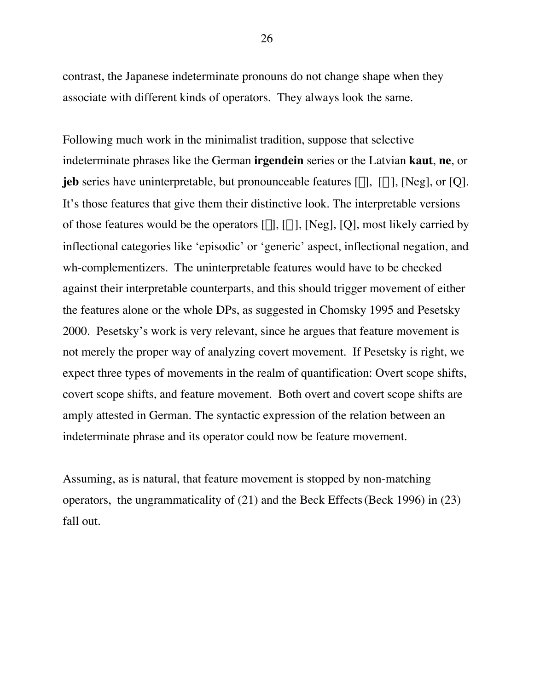contrast, the Japanese indeterminate pronouns do not change shape when they associate with different kinds of operators. They always look the same.

Following much work in the minimalist tradition, suppose that selective indeterminate phrases like the German **irgendein** series or the Latvian **kaut**, **ne**, or **jeb** series have uninterpretable, but pronounceable features  $[\exists]$ ,  $[\forall]$ ,  $[Neg]$ , or  $[Q]$ . It's those features that give them their distinctive look. The interpretable versions of those features would be the operators  $[\exists]$ ,  $[\forall]$ ,  $[Neg]$ ,  $[Q]$ , most likely carried by inflectional categories like 'episodic' or 'generic' aspect, inflectional negation, and wh-complementizers. The uninterpretable features would have to be checked against their interpretable counterparts, and this should trigger movement of either the features alone or the whole DPs, as suggested in Chomsky 1995 and Pesetsky 2000. Pesetsky's work is very relevant, since he argues that feature movement is not merely the proper way of analyzing covert movement. If Pesetsky is right, we expect three types of movements in the realm of quantification: Overt scope shifts, covert scope shifts, and feature movement. Both overt and covert scope shifts are amply attested in German. The syntactic expression of the relation between an indeterminate phrase and its operator could now be feature movement.

Assuming, as is natural, that feature movement is stopped by non-matching operators, the ungrammaticality of (21) and the Beck Effects(Beck 1996) in (23) fall out.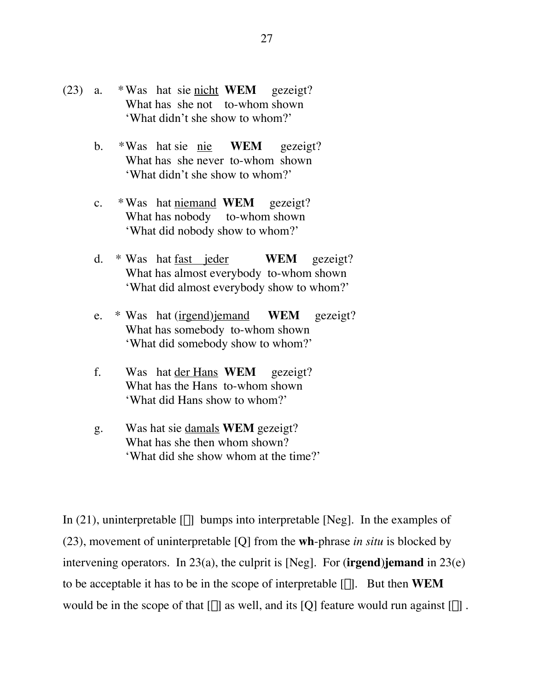- (23) a. \*Was hat sie nicht **WEM** gezeigt? What has she not to-whom shown 'What didn't she show to whom?'
	- b. \*Was hat sie nie **WEM** gezeigt? What has she never to-whom shown 'What didn't she show to whom?'
	- c. \*Was hat niemand **WEM** gezeigt? What has nobody to-whom shown 'What did nobody show to whom?'
	- d. \* Was hat fast jeder **WEM** gezeigt? What has almost everybody to-whom shown 'What did almost everybody show to whom?'
	- e. \* Was hat (irgend)jemand **WEM** gezeigt? What has somebody to-whom shown 'What did somebody show to whom?'
	- f. Was hat der Hans **WEM** gezeigt? What has the Hans to-whom shown 'What did Hans show to whom?'
	- g. Was hat sie damals **WEM** gezeigt? What has she then whom shown? 'What did she show whom at the time?'

In (21), uninterpretable  $[\exists]$  bumps into interpretable [Neg]. In the examples of (23), movement of uninterpretable [Q] from the **wh**-phrase *in situ* is blocked by intervening operators. In 23(a), the culprit is [Neg]. For (**irgend**)**jemand** in 23(e) to be acceptable it has to be in the scope of interpretable  $[\exists]$ . But then **WEM** would be in the scope of that  $[\exists]$  as well, and its  $[Q]$  feature would run against  $[\exists]$ .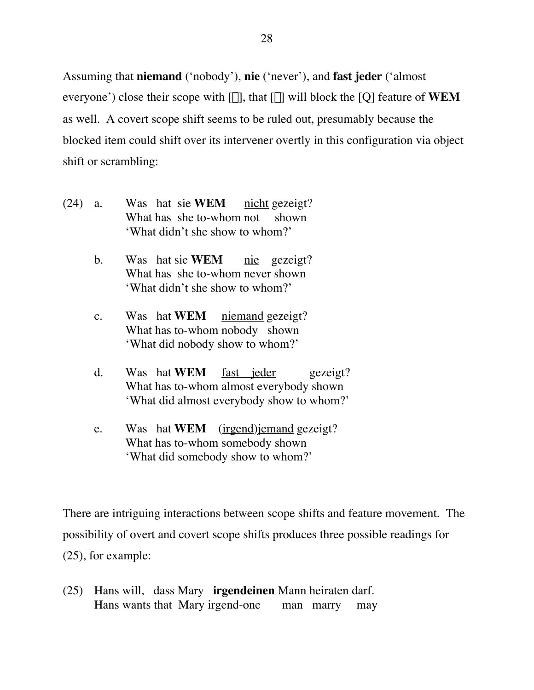Assuming that **niemand** ('nobody'), **nie** ('never'), and **fast jeder** ('almost everyone') close their scope with  $[\exists]$ , that  $[\exists]$  will block the  $[Q]$  feature of **WEM** as well. A covert scope shift seems to be ruled out, presumably because the blocked item could shift over its intervener overtly in this configuration via object shift or scrambling:

- (24) a. Was hat sie **WEM** nicht gezeigt? What has she to-whom not shown 'What didn't she show to whom?'
	- b. Was hat sie **WEM** nie gezeigt? What has she to-whom never shown 'What didn't she show to whom?'
	- c. Was hat **WEM** niemand gezeigt? What has to-whom nobody shown 'What did nobody show to whom?'
	- d. Was hat **WEM** fast jeder gezeigt? What has to-whom almost everybody shown 'What did almost everybody show to whom?'
	- e. Was hat **WEM** (irgend)jemand gezeigt? What has to-whom somebody shown 'What did somebody show to whom?'

There are intriguing interactions between scope shifts and feature movement. The possibility of overt and covert scope shifts produces three possible readings for (25), for example:

(25) Hans will, dass Mary **irgendeinen** Mann heiraten darf. Hans wants that Mary irgend-one man marry may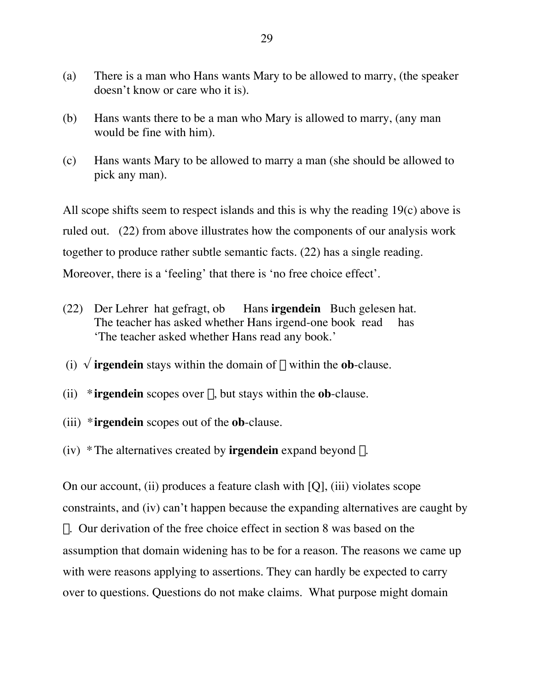- (a) There is a man who Hans wants Mary to be allowed to marry, (the speaker doesn't know or care who it is).
- (b) Hans wants there to be a man who Mary is allowed to marry, (any man would be fine with him).
- (c) Hans wants Mary to be allowed to marry a man (she should be allowed to pick any man).

All scope shifts seem to respect islands and this is why the reading 19(c) above is ruled out. (22) from above illustrates how the components of our analysis work together to produce rather subtle semantic facts. (22) has a single reading. Moreover, there is a 'feeling' that there is 'no free choice effect'.

- (22) Der Lehrer hat gefragt, ob Hans **irgendein** Buch gelesen hat. The teacher has asked whether Hans irgend-one book read has 'The teacher asked whether Hans read any book.'
- (i)  $\sqrt{\text{irgender}}$  stays within the domain of  $\exists$  within the **ob**-clause.
- (ii)  $*$ **irgendein** scopes over  $\exists$ , but stays within the **ob**-clause.
- (iii) \***irgendein** scopes out of the **ob**-clause.
- $(iv)$  \* The alternatives created by **irgendein** expand beyond  $\exists$ .

On our account, (ii) produces a feature clash with [Q], (iii) violates scope constraints, and (iv) can't happen because the expanding alternatives are caught by **E.** Our derivation of the free choice effect in section 8 was based on the assumption that domain widening has to be for a reason. The reasons we came up with were reasons applying to assertions. They can hardly be expected to carry over to questions. Questions do not make claims. What purpose might domain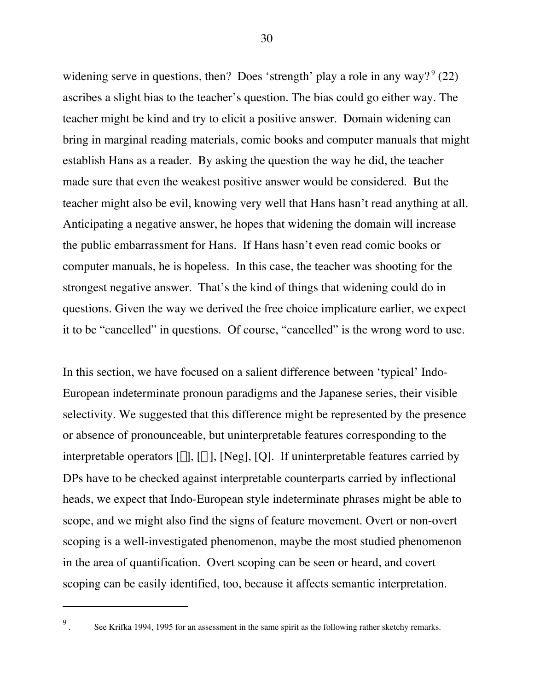widening serve in questions, then? Does 'strength' play a role in any way? $(22)$ ascribes a slight bias to the teacher's question. The bias could go either way. The teacher might be kind and try to elicit a positive answer. Domain widening can bring in marginal reading materials, comic books and computer manuals that might establish Hans as a reader. By asking the question the way he did, the teacher made sure that even the weakest positive answer would be considered. But the teacher might also be evil, knowing very well that Hans hasn't read anything at all. Anticipating a negative answer, he hopes that widening the domain will increase the public embarrassment for Hans. If Hans hasn't even read comic books or computer manuals, he is hopeless. In this case, the teacher was shooting for the strongest negative answer. That's the kind of things that widening could do in questions. Given the way we derived the free choice implicature earlier, we expect it to be "cancelled" in questions. Of course, "cancelled" is the wrong word to use.

In this section, we have focused on a salient difference between 'typical' Indo-European indeterminate pronoun paradigms and the Japanese series, their visible selectivity. We suggested that this difference might be represented by the presence or absence of pronounceable, but uninterpretable features corresponding to the interpretable operators  $[\exists]$ ,  $[\forall]$ ,  $[Neg]$ ,  $[Q]$ . If uninterpretable features carried by DPs have to be checked against interpretable counterparts carried by inflectional heads, we expect that Indo-European style indeterminate phrases might be able to scope, and we might also find the signs of feature movement. Overt or non-overt scoping is a well-investigated phenomenon, maybe the most studied phenomenon in the area of quantification. Overt scoping can be seen or heard, and covert scoping can be easily identified, too, because it affects semantic interpretation.

9

 $\overline{a}$ 

 <sup>.</sup> See Krifka 1994, 1995 for an assessment in the same spirit as the following rather sketchy remarks.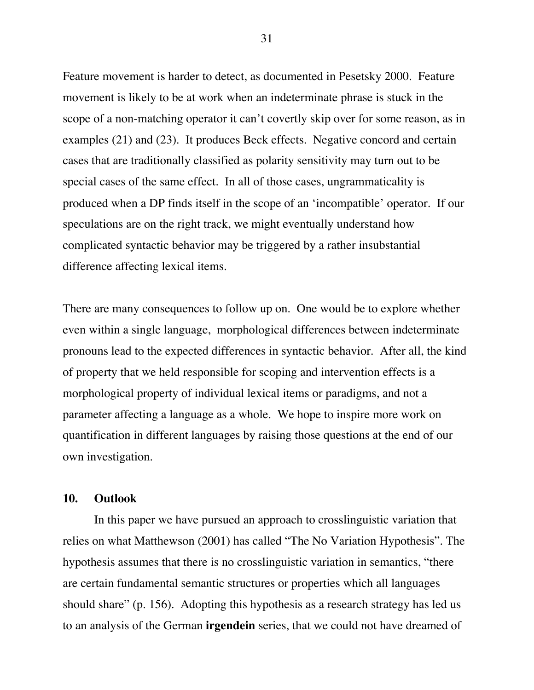Feature movement is harder to detect, as documented in Pesetsky 2000. Feature movement is likely to be at work when an indeterminate phrase is stuck in the scope of a non-matching operator it can't covertly skip over for some reason, as in examples (21) and (23). It produces Beck effects. Negative concord and certain cases that are traditionally classified as polarity sensitivity may turn out to be special cases of the same effect. In all of those cases, ungrammaticality is produced when a DP finds itself in the scope of an 'incompatible' operator. If our speculations are on the right track, we might eventually understand how complicated syntactic behavior may be triggered by a rather insubstantial difference affecting lexical items.

There are many consequences to follow up on. One would be to explore whether even within a single language, morphological differences between indeterminate pronouns lead to the expected differences in syntactic behavior. After all, the kind of property that we held responsible for scoping and intervention effects is a morphological property of individual lexical items or paradigms, and not a parameter affecting a language as a whole. We hope to inspire more work on quantification in different languages by raising those questions at the end of our own investigation.

### **10. Outlook**

In this paper we have pursued an approach to crosslinguistic variation that relies on what Matthewson (2001) has called "The No Variation Hypothesis". The hypothesis assumes that there is no crosslinguistic variation in semantics, "there are certain fundamental semantic structures or properties which all languages should share" (p. 156). Adopting this hypothesis as a research strategy has led us to an analysis of the German **irgendein** series, that we could not have dreamed of

31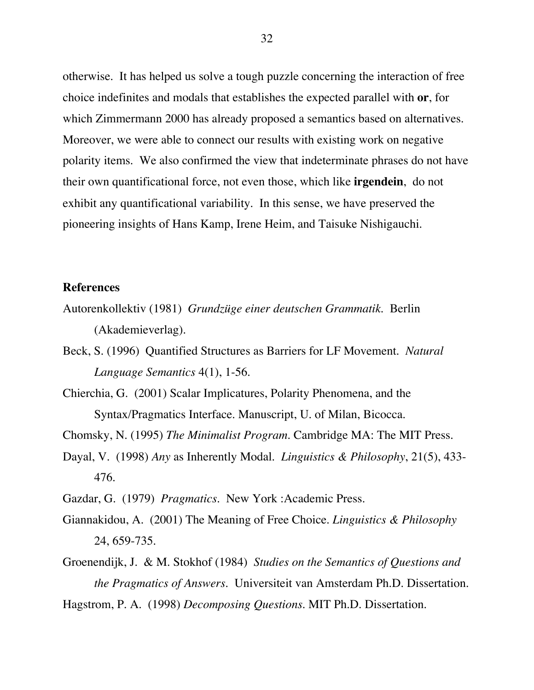otherwise. It has helped us solve a tough puzzle concerning the interaction of free choice indefinites and modals that establishes the expected parallel with **or**, for which Zimmermann 2000 has already proposed a semantics based on alternatives. Moreover, we were able to connect our results with existing work on negative polarity items. We also confirmed the view that indeterminate phrases do not have their own quantificational force, not even those, which like **irgendein**, do not exhibit any quantificational variability. In this sense, we have preserved the pioneering insights of Hans Kamp, Irene Heim, and Taisuke Nishigauchi.

### **References**

- Autorenkollektiv (1981) *Grundzüge einer deutschen Grammatik*. Berlin (Akademieverlag).
- Beck, S. (1996) Quantified Structures as Barriers for LF Movement. *Natural Language Semantics* 4(1), 1-56.

Chierchia, G. (2001) Scalar Implicatures, Polarity Phenomena, and the Syntax/Pragmatics Interface. Manuscript, U. of Milan, Bicocca.

Chomsky, N. (1995) *The Minimalist Program*. Cambridge MA: The MIT Press.

Dayal, V. (1998) *Any* as Inherently Modal. *Linguistics & Philosophy*, 21(5), 433- 476.

Gazdar, G. (1979) *Pragmatics*. New York :Academic Press.

- Giannakidou, A. (2001) The Meaning of Free Choice. *Linguistics & Philosophy* 24, 659-735.
- Groenendijk, J. & M. Stokhof (1984) *Studies on the Semantics of Questions and the Pragmatics of Answers*. Universiteit van Amsterdam Ph.D. Dissertation.

Hagstrom, P. A. (1998) *Decomposing Questions*. MIT Ph.D. Dissertation.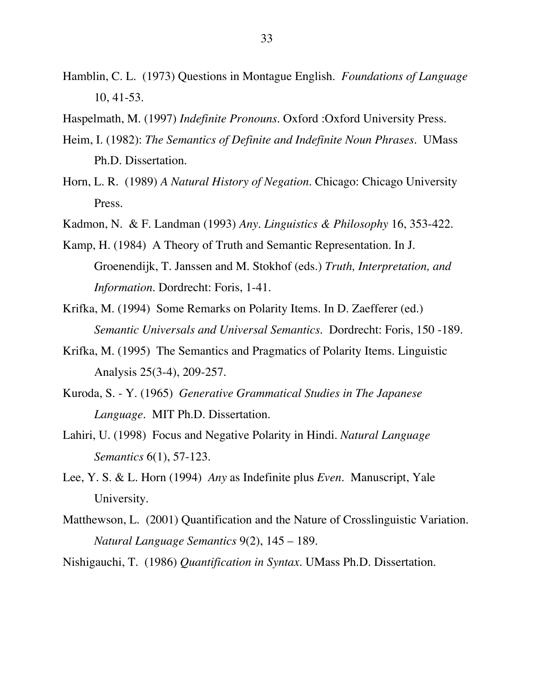- Hamblin, C. L. (1973) Questions in Montague English. *Foundations of Language* 10, 41-53.
- Haspelmath, M. (1997) *Indefinite Pronouns*. Oxford :Oxford University Press.
- Heim, I. (1982): *The Semantics of Definite and Indefinite Noun Phrases*. UMass Ph.D. Dissertation.
- Horn, L. R. (1989) *A Natural History of Negation*. Chicago: Chicago University Press.
- Kadmon, N. & F. Landman (1993) *Any*. *Linguistics & Philosophy* 16, 353-422.
- Kamp, H. (1984) A Theory of Truth and Semantic Representation. In J. Groenendijk, T. Janssen and M. Stokhof (eds.) *Truth, Interpretation, and Information*. Dordrecht: Foris, 1-41.
- Krifka, M. (1994) Some Remarks on Polarity Items. In D. Zaefferer (ed.) *Semantic Universals and Universal Semantics*. Dordrecht: Foris, 150 -189.
- Krifka, M. (1995) The Semantics and Pragmatics of Polarity Items. Linguistic Analysis 25(3-4), 209-257.
- Kuroda, S. Y. (1965) *Generative Grammatical Studies in The Japanese Language*. MIT Ph.D. Dissertation.
- Lahiri, U. (1998) Focus and Negative Polarity in Hindi. *Natural Language Semantics* 6(1), 57-123.
- Lee, Y. S. & L. Horn (1994) *Any* as Indefinite plus *Even*. Manuscript, Yale University.
- Matthewson, L. (2001) Quantification and the Nature of Crosslinguistic Variation. *Natural Language Semantics* 9(2), 145 – 189.

Nishigauchi, T. (1986) *Quantification in Syntax*. UMass Ph.D. Dissertation.